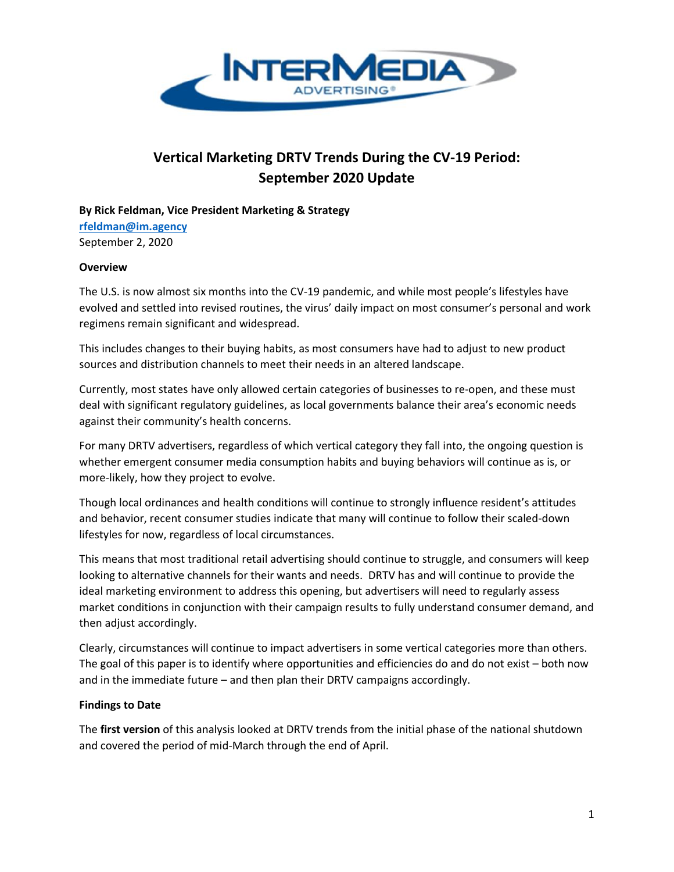

# **Vertical Marketing DRTV Trends During the CV-19 Period: September 2020 Update**

**By Rick Feldman, Vice President Marketing & Strategy**

**[rfeldman@im.agency](mailto:rfeldman@im.agency)** September 2, 2020

# **Overview**

The U.S. is now almost six months into the CV-19 pandemic, and while most people's lifestyles have evolved and settled into revised routines, the virus' daily impact on most consumer's personal and work regimens remain significant and widespread.

This includes changes to their buying habits, as most consumers have had to adjust to new product sources and distribution channels to meet their needs in an altered landscape.

Currently, most states have only allowed certain categories of businesses to re-open, and these must deal with significant regulatory guidelines, as local governments balance their area's economic needs against their community's health concerns.

For many DRTV advertisers, regardless of which vertical category they fall into, the ongoing question is whether emergent consumer media consumption habits and buying behaviors will continue as is, or more-likely, how they project to evolve.

Though local ordinances and health conditions will continue to strongly influence resident's attitudes and behavior, recent consumer studies indicate that many will continue to follow their scaled-down lifestyles for now, regardless of local circumstances.

This means that most traditional retail advertising should continue to struggle, and consumers will keep looking to alternative channels for their wants and needs. DRTV has and will continue to provide the ideal marketing environment to address this opening, but advertisers will need to regularly assess market conditions in conjunction with their campaign results to fully understand consumer demand, and then adjust accordingly.

Clearly, circumstances will continue to impact advertisers in some vertical categories more than others. The goal of this paper is to identify where opportunities and efficiencies do and do not exist – both now and in the immediate future – and then plan their DRTV campaigns accordingly.

# **Findings to Date**

The **first version** of this analysis looked at DRTV trends from the initial phase of the national shutdown and covered the period of mid-March through the end of April.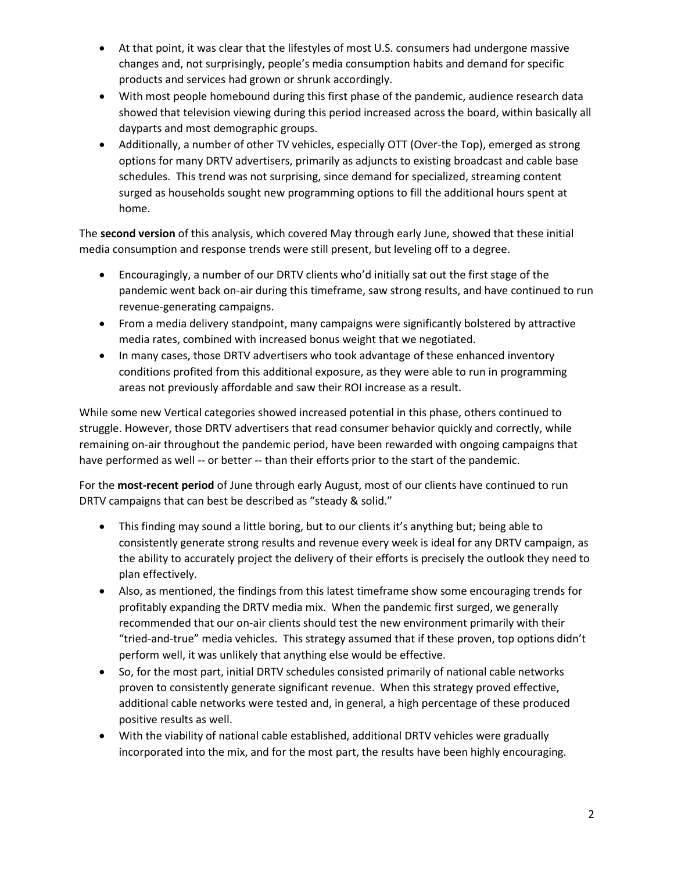- At that point, it was clear that the lifestyles of most U.S. consumers had undergone massive changes and, not surprisingly, people's media consumption habits and demand for specific products and services had grown or shrunk accordingly.
- With most people homebound during this first phase of the pandemic, audience research data showed that television viewing during this period increased across the board, within basically all dayparts and most demographic groups.
- Additionally, a number of other TV vehicles, especially OTT (Over-the Top), emerged as strong options for many DRTV advertisers, primarily as adjuncts to existing broadcast and cable base schedules. This trend was not surprising, since demand for specialized, streaming content surged as households sought new programming options to fill the additional hours spent at home.

The **second version** of this analysis, which covered May through early June, showed that these initial media consumption and response trends were still present, but leveling off to a degree.

- Encouragingly, a number of our DRTV clients who'd initially sat out the first stage of the pandemic went back on-air during this timeframe, saw strong results, and have continued to run revenue-generating campaigns.
- From a media delivery standpoint, many campaigns were significantly bolstered by attractive media rates, combined with increased bonus weight that we negotiated.
- In many cases, those DRTV advertisers who took advantage of these enhanced inventory conditions profited from this additional exposure, as they were able to run in programming areas not previously affordable and saw their ROI increase as a result.

While some new Vertical categories showed increased potential in this phase, others continued to struggle. However, those DRTV advertisers that read consumer behavior quickly and correctly, while remaining on-air throughout the pandemic period, have been rewarded with ongoing campaigns that have performed as well -- or better -- than their efforts prior to the start of the pandemic.

For the **most-recent period** of June through early August, most of our clients have continued to run DRTV campaigns that can best be described as "steady & solid."

- This finding may sound a little boring, but to our clients it's anything but; being able to consistently generate strong results and revenue every week is ideal for any DRTV campaign, as the ability to accurately project the delivery of their efforts is precisely the outlook they need to plan effectively.
- Also, as mentioned, the findings from this latest timeframe show some encouraging trends for profitably expanding the DRTV media mix. When the pandemic first surged, we generally recommended that our on-air clients should test the new environment primarily with their "tried-and-true" media vehicles. This strategy assumed that if these proven, top options didn't perform well, it was unlikely that anything else would be effective.
- So, for the most part, initial DRTV schedules consisted primarily of national cable networks proven to consistently generate significant revenue. When this strategy proved effective, additional cable networks were tested and, in general, a high percentage of these produced positive results as well.
- With the viability of national cable established, additional DRTV vehicles were gradually incorporated into the mix, and for the most part, the results have been highly encouraging.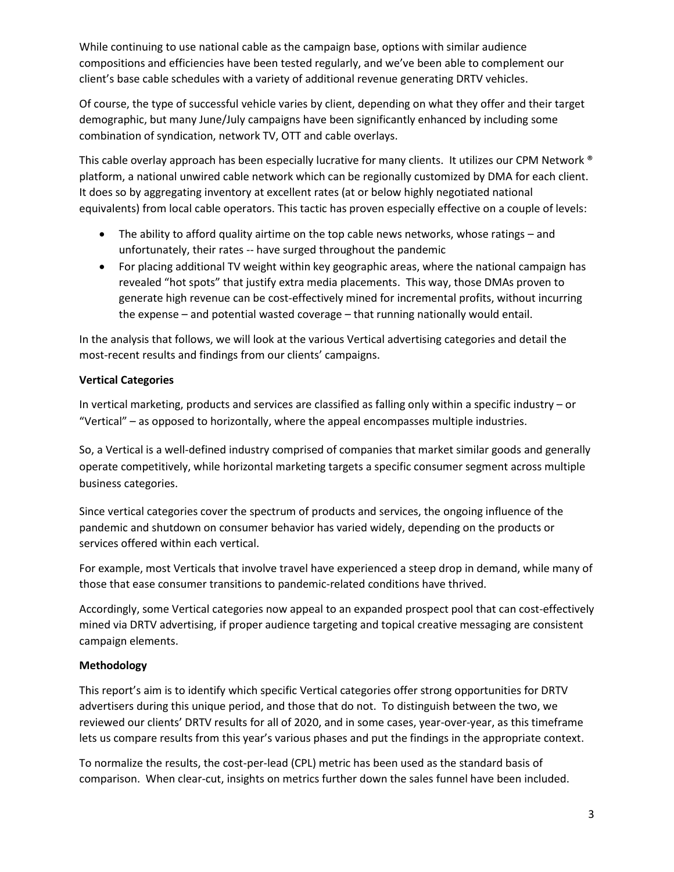While continuing to use national cable as the campaign base, options with similar audience compositions and efficiencies have been tested regularly, and we've been able to complement our client's base cable schedules with a variety of additional revenue generating DRTV vehicles.

Of course, the type of successful vehicle varies by client, depending on what they offer and their target demographic, but many June/July campaigns have been significantly enhanced by including some combination of syndication, network TV, OTT and cable overlays.

This cable overlay approach has been especially lucrative for many clients. It utilizes our CPM Network ® platform, a national unwired cable network which can be regionally customized by DMA for each client. It does so by aggregating inventory at excellent rates (at or below highly negotiated national equivalents) from local cable operators. This tactic has proven especially effective on a couple of levels:

- The ability to afford quality airtime on the top cable news networks, whose ratings and unfortunately, their rates -- have surged throughout the pandemic
- For placing additional TV weight within key geographic areas, where the national campaign has revealed "hot spots" that justify extra media placements. This way, those DMAs proven to generate high revenue can be cost-effectively mined for incremental profits, without incurring the expense – and potential wasted coverage – that running nationally would entail.

In the analysis that follows, we will look at the various Vertical advertising categories and detail the most-recent results and findings from our clients' campaigns.

# **Vertical Categories**

In vertical marketing, products and services are classified as falling only within a specific industry – or "Vertical" – as opposed to horizontally, where the appeal encompasses multiple industries.

So, a Vertical is a well-defined industry comprised of companies that market similar goods and generally operate competitively, while horizontal marketing targets a specific consumer segment across multiple business categories.

Since vertical categories cover the spectrum of products and services, the ongoing influence of the pandemic and shutdown on consumer behavior has varied widely, depending on the products or services offered within each vertical.

For example, most Verticals that involve travel have experienced a steep drop in demand, while many of those that ease consumer transitions to pandemic-related conditions have thrived.

Accordingly, some Vertical categories now appeal to an expanded prospect pool that can cost-effectively mined via DRTV advertising, if proper audience targeting and topical creative messaging are consistent campaign elements.

# **Methodology**

This report's aim is to identify which specific Vertical categories offer strong opportunities for DRTV advertisers during this unique period, and those that do not. To distinguish between the two, we reviewed our clients' DRTV results for all of 2020, and in some cases, year-over-year, as this timeframe lets us compare results from this year's various phases and put the findings in the appropriate context.

To normalize the results, the cost-per-lead (CPL) metric has been used as the standard basis of comparison. When clear-cut, insights on metrics further down the sales funnel have been included.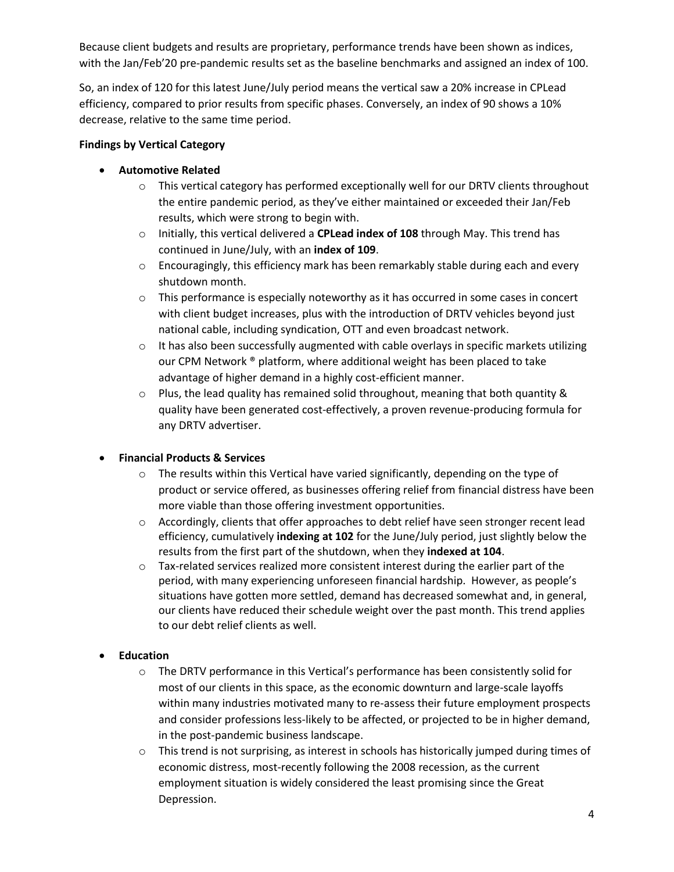Because client budgets and results are proprietary, performance trends have been shown as indices, with the Jan/Feb'20 pre-pandemic results set as the baseline benchmarks and assigned an index of 100.

So, an index of 120 for this latest June/July period means the vertical saw a 20% increase in CPLead efficiency, compared to prior results from specific phases. Conversely, an index of 90 shows a 10% decrease, relative to the same time period.

#### **Findings by Vertical Category**

#### • **Automotive Related**

- $\circ$  This vertical category has performed exceptionally well for our DRTV clients throughout the entire pandemic period, as they've either maintained or exceeded their Jan/Feb results, which were strong to begin with.
- o Initially, this vertical delivered a **CPLead index of 108** through May. This trend has continued in June/July, with an **index of 109**.
- o Encouragingly, this efficiency mark has been remarkably stable during each and every shutdown month.
- o This performance is especially noteworthy as it has occurred in some cases in concert with client budget increases, plus with the introduction of DRTV vehicles beyond just national cable, including syndication, OTT and even broadcast network.
- $\circ$  It has also been successfully augmented with cable overlays in specific markets utilizing our CPM Network ® platform, where additional weight has been placed to take advantage of higher demand in a highly cost-efficient manner.
- $\circ$  Plus, the lead quality has remained solid throughout, meaning that both quantity & quality have been generated cost-effectively, a proven revenue-producing formula for any DRTV advertiser.

#### • **Financial Products & Services**

- $\circ$  The results within this Vertical have varied significantly, depending on the type of product or service offered, as businesses offering relief from financial distress have been more viable than those offering investment opportunities.
- o Accordingly, clients that offer approaches to debt relief have seen stronger recent lead efficiency, cumulatively **indexing at 102** for the June/July period, just slightly below the results from the first part of the shutdown, when they **indexed at 104**.
- $\circ$  Tax-related services realized more consistent interest during the earlier part of the period, with many experiencing unforeseen financial hardship. However, as people's situations have gotten more settled, demand has decreased somewhat and, in general, our clients have reduced their schedule weight over the past month. This trend applies to our debt relief clients as well.

#### • **Education**

- o The DRTV performance in this Vertical's performance has been consistently solid for most of our clients in this space, as the economic downturn and large-scale layoffs within many industries motivated many to re-assess their future employment prospects and consider professions less-likely to be affected, or projected to be in higher demand, in the post-pandemic business landscape.
- $\circ$  This trend is not surprising, as interest in schools has historically jumped during times of economic distress, most-recently following the 2008 recession, as the current employment situation is widely considered the least promising since the Great Depression.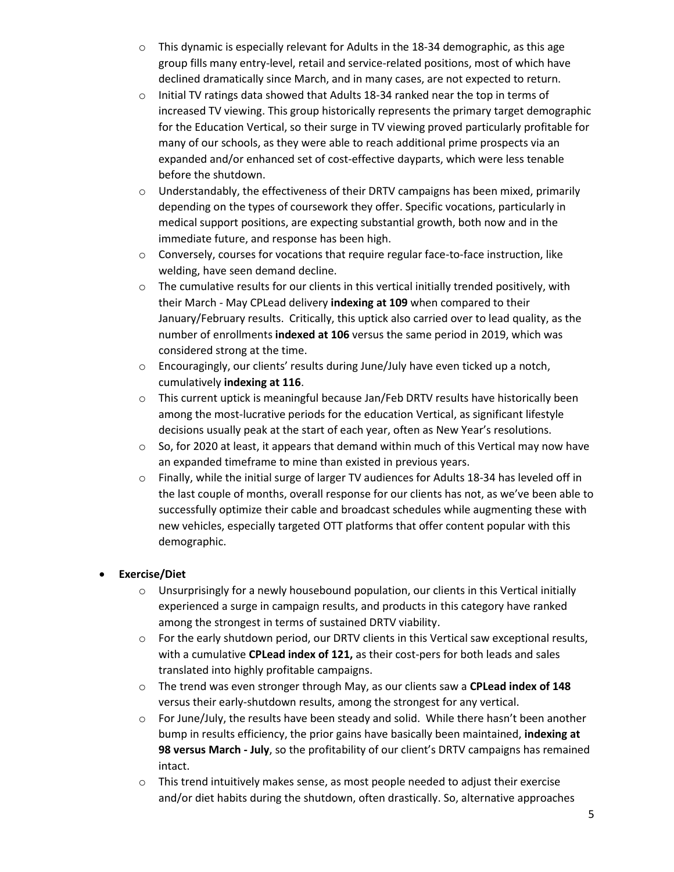- $\circ$  This dynamic is especially relevant for Adults in the 18-34 demographic, as this age group fills many entry-level, retail and service-related positions, most of which have declined dramatically since March, and in many cases, are not expected to return.
- $\circ$  Initial TV ratings data showed that Adults 18-34 ranked near the top in terms of increased TV viewing. This group historically represents the primary target demographic for the Education Vertical, so their surge in TV viewing proved particularly profitable for many of our schools, as they were able to reach additional prime prospects via an expanded and/or enhanced set of cost-effective dayparts, which were less tenable before the shutdown.
- $\circ$  Understandably, the effectiveness of their DRTV campaigns has been mixed, primarily depending on the types of coursework they offer. Specific vocations, particularly in medical support positions, are expecting substantial growth, both now and in the immediate future, and response has been high.
- o Conversely, courses for vocations that require regular face-to-face instruction, like welding, have seen demand decline.
- $\circ$  The cumulative results for our clients in this vertical initially trended positively, with their March - May CPLead delivery **indexing at 109** when compared to their January/February results. Critically, this uptick also carried over to lead quality, as the number of enrollments **indexed at 106** versus the same period in 2019, which was considered strong at the time.
- o Encouragingly, our clients' results during June/July have even ticked up a notch, cumulatively **indexing at 116**.
- $\circ$  This current uptick is meaningful because Jan/Feb DRTV results have historically been among the most-lucrative periods for the education Vertical, as significant lifestyle decisions usually peak at the start of each year, often as New Year's resolutions.
- $\circ$  So, for 2020 at least, it appears that demand within much of this Vertical may now have an expanded timeframe to mine than existed in previous years.
- o Finally, while the initial surge of larger TV audiences for Adults 18-34 has leveled off in the last couple of months, overall response for our clients has not, as we've been able to successfully optimize their cable and broadcast schedules while augmenting these with new vehicles, especially targeted OTT platforms that offer content popular with this demographic.

# • **Exercise/Diet**

- $\circ$  Unsurprisingly for a newly housebound population, our clients in this Vertical initially experienced a surge in campaign results, and products in this category have ranked among the strongest in terms of sustained DRTV viability.
- $\circ$  For the early shutdown period, our DRTV clients in this Vertical saw exceptional results, with a cumulative **CPLead index of 121,** as their cost-pers for both leads and sales translated into highly profitable campaigns.
- o The trend was even stronger through May, as our clients saw a **CPLead index of 148** versus their early-shutdown results, among the strongest for any vertical.
- $\circ$  For June/July, the results have been steady and solid. While there hasn't been another bump in results efficiency, the prior gains have basically been maintained, **indexing at 98 versus March - July**, so the profitability of our client's DRTV campaigns has remained intact.
- $\circ$  This trend intuitively makes sense, as most people needed to adjust their exercise and/or diet habits during the shutdown, often drastically. So, alternative approaches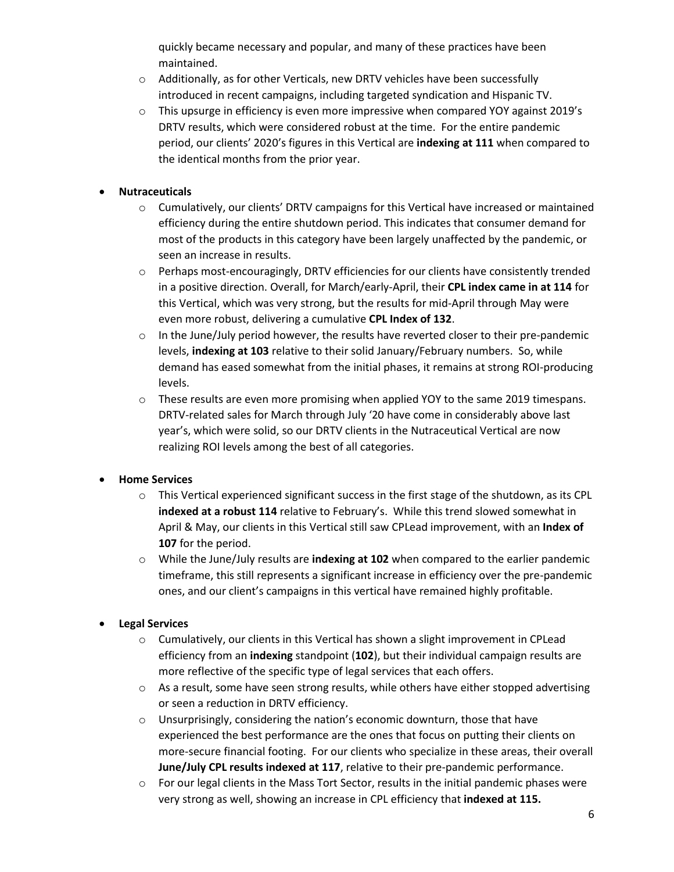quickly became necessary and popular, and many of these practices have been maintained.

- $\circ$  Additionally, as for other Verticals, new DRTV vehicles have been successfully introduced in recent campaigns, including targeted syndication and Hispanic TV.
- $\circ$  This upsurge in efficiency is even more impressive when compared YOY against 2019's DRTV results, which were considered robust at the time. For the entire pandemic period, our clients' 2020's figures in this Vertical are **indexing at 111** when compared to the identical months from the prior year.

# • **Nutraceuticals**

- o Cumulatively, our clients' DRTV campaigns for this Vertical have increased or maintained efficiency during the entire shutdown period. This indicates that consumer demand for most of the products in this category have been largely unaffected by the pandemic, or seen an increase in results.
- o Perhaps most-encouragingly, DRTV efficiencies for our clients have consistently trended in a positive direction. Overall, for March/early-April, their **CPL index came in at 114** for this Vertical, which was very strong, but the results for mid-April through May were even more robust, delivering a cumulative **CPL Index of 132**.
- o In the June/July period however, the results have reverted closer to their pre-pandemic levels, **indexing at 103** relative to their solid January/February numbers. So, while demand has eased somewhat from the initial phases, it remains at strong ROI-producing levels.
- $\circ$  These results are even more promising when applied YOY to the same 2019 timespans. DRTV-related sales for March through July '20 have come in considerably above last year's, which were solid, so our DRTV clients in the Nutraceutical Vertical are now realizing ROI levels among the best of all categories.

# • **Home Services**

- $\circ$  This Vertical experienced significant success in the first stage of the shutdown, as its CPL **indexed at a robust 114** relative to February's. While this trend slowed somewhat in April & May, our clients in this Vertical still saw CPLead improvement, with an **Index of 107** for the period.
- o While the June/July results are **indexing at 102** when compared to the earlier pandemic timeframe, this still represents a significant increase in efficiency over the pre-pandemic ones, and our client's campaigns in this vertical have remained highly profitable.

# • **Legal Services**

- $\circ$  Cumulatively, our clients in this Vertical has shown a slight improvement in CPLead efficiency from an **indexing** standpoint (**102**), but their individual campaign results are more reflective of the specific type of legal services that each offers.
- $\circ$  As a result, some have seen strong results, while others have either stopped advertising or seen a reduction in DRTV efficiency.
- o Unsurprisingly, considering the nation's economic downturn, those that have experienced the best performance are the ones that focus on putting their clients on more-secure financial footing. For our clients who specialize in these areas, their overall **June/July CPL results indexed at 117**, relative to their pre-pandemic performance.
- $\circ$  For our legal clients in the Mass Tort Sector, results in the initial pandemic phases were very strong as well, showing an increase in CPL efficiency that **indexed at 115.**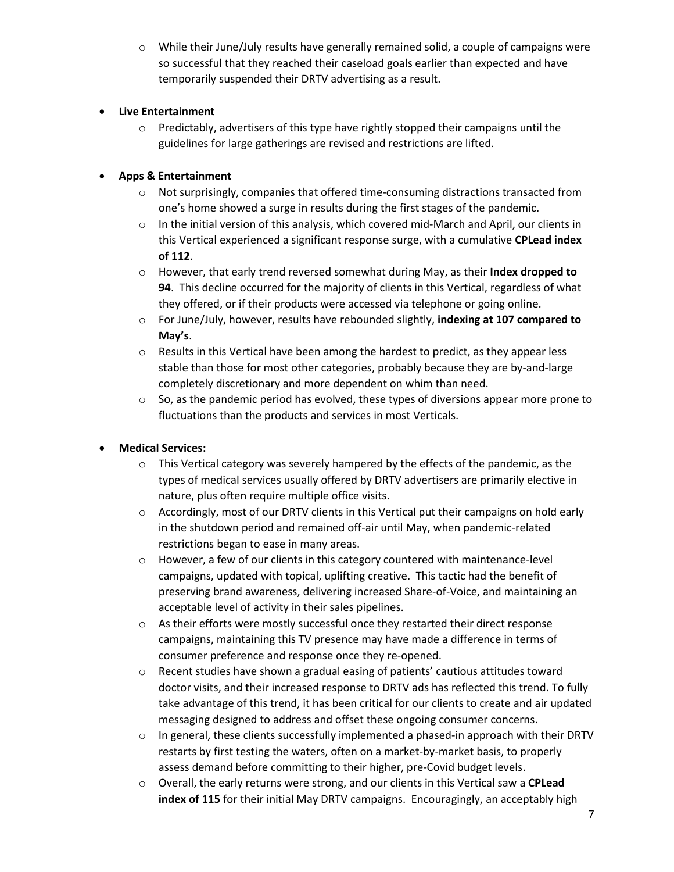$\circ$  While their June/July results have generally remained solid, a couple of campaigns were so successful that they reached their caseload goals earlier than expected and have temporarily suspended their DRTV advertising as a result.

# • **Live Entertainment**

 $\circ$  Predictably, advertisers of this type have rightly stopped their campaigns until the guidelines for large gatherings are revised and restrictions are lifted.

# • **Apps & Entertainment**

- $\circ$  Not surprisingly, companies that offered time-consuming distractions transacted from one's home showed a surge in results during the first stages of the pandemic.
- $\circ$  In the initial version of this analysis, which covered mid-March and April, our clients in this Vertical experienced a significant response surge, with a cumulative **CPLead index of 112**.
- o However, that early trend reversed somewhat during May, as their **Index dropped to 94**. This decline occurred for the majority of clients in this Vertical, regardless of what they offered, or if their products were accessed via telephone or going online.
- o For June/July, however, results have rebounded slightly, **indexing at 107 compared to May's**.
- $\circ$  Results in this Vertical have been among the hardest to predict, as they appear less stable than those for most other categories, probably because they are by-and-large completely discretionary and more dependent on whim than need.
- o So, as the pandemic period has evolved, these types of diversions appear more prone to fluctuations than the products and services in most Verticals.

# • **Medical Services:**

- $\circ$  This Vertical category was severely hampered by the effects of the pandemic, as the types of medical services usually offered by DRTV advertisers are primarily elective in nature, plus often require multiple office visits.
- $\circ$  Accordingly, most of our DRTV clients in this Vertical put their campaigns on hold early in the shutdown period and remained off-air until May, when pandemic-related restrictions began to ease in many areas.
- $\circ$  However, a few of our clients in this category countered with maintenance-level campaigns, updated with topical, uplifting creative. This tactic had the benefit of preserving brand awareness, delivering increased Share-of-Voice, and maintaining an acceptable level of activity in their sales pipelines.
- $\circ$  As their efforts were mostly successful once they restarted their direct response campaigns, maintaining this TV presence may have made a difference in terms of consumer preference and response once they re-opened.
- $\circ$  Recent studies have shown a gradual easing of patients' cautious attitudes toward doctor visits, and their increased response to DRTV ads has reflected this trend. To fully take advantage of this trend, it has been critical for our clients to create and air updated messaging designed to address and offset these ongoing consumer concerns.
- $\circ$  In general, these clients successfully implemented a phased-in approach with their DRTV restarts by first testing the waters, often on a market-by-market basis, to properly assess demand before committing to their higher, pre-Covid budget levels.
- o Overall, the early returns were strong, and our clients in this Vertical saw a **CPLead index of 115** for their initial May DRTV campaigns. Encouragingly, an acceptably high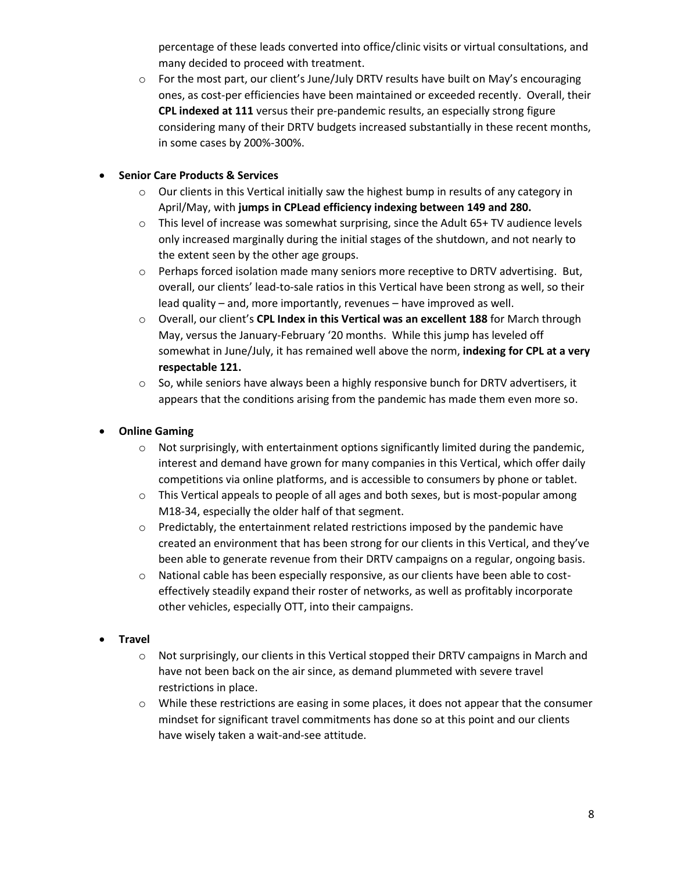percentage of these leads converted into office/clinic visits or virtual consultations, and many decided to proceed with treatment.

 $\circ$  For the most part, our client's June/July DRTV results have built on May's encouraging ones, as cost-per efficiencies have been maintained or exceeded recently. Overall, their **CPL indexed at 111** versus their pre-pandemic results, an especially strong figure considering many of their DRTV budgets increased substantially in these recent months, in some cases by 200%-300%.

# • **Senior Care Products & Services**

- $\circ$  Our clients in this Vertical initially saw the highest bump in results of any category in April/May, with **jumps in CPLead efficiency indexing between 149 and 280.**
- $\circ$  This level of increase was somewhat surprising, since the Adult 65+ TV audience levels only increased marginally during the initial stages of the shutdown, and not nearly to the extent seen by the other age groups.
- o Perhaps forced isolation made many seniors more receptive to DRTV advertising. But, overall, our clients' lead-to-sale ratios in this Vertical have been strong as well, so their lead quality – and, more importantly, revenues – have improved as well.
- o Overall, our client's **CPL Index in this Vertical was an excellent 188** for March through May, versus the January-February '20 months. While this jump has leveled off somewhat in June/July, it has remained well above the norm, **indexing for CPL at a very respectable 121.**
- $\circ$  So, while seniors have always been a highly responsive bunch for DRTV advertisers, it appears that the conditions arising from the pandemic has made them even more so.

# • **Online Gaming**

- $\circ$  Not surprisingly, with entertainment options significantly limited during the pandemic, interest and demand have grown for many companies in this Vertical, which offer daily competitions via online platforms, and is accessible to consumers by phone or tablet.
- o This Vertical appeals to people of all ages and both sexes, but is most-popular among M18-34, especially the older half of that segment.
- $\circ$  Predictably, the entertainment related restrictions imposed by the pandemic have created an environment that has been strong for our clients in this Vertical, and they've been able to generate revenue from their DRTV campaigns on a regular, ongoing basis.
- o National cable has been especially responsive, as our clients have been able to costeffectively steadily expand their roster of networks, as well as profitably incorporate other vehicles, especially OTT, into their campaigns.

# • **Travel**

- $\circ$  Not surprisingly, our clients in this Vertical stopped their DRTV campaigns in March and have not been back on the air since, as demand plummeted with severe travel restrictions in place.
- $\circ$  While these restrictions are easing in some places, it does not appear that the consumer mindset for significant travel commitments has done so at this point and our clients have wisely taken a wait-and-see attitude.